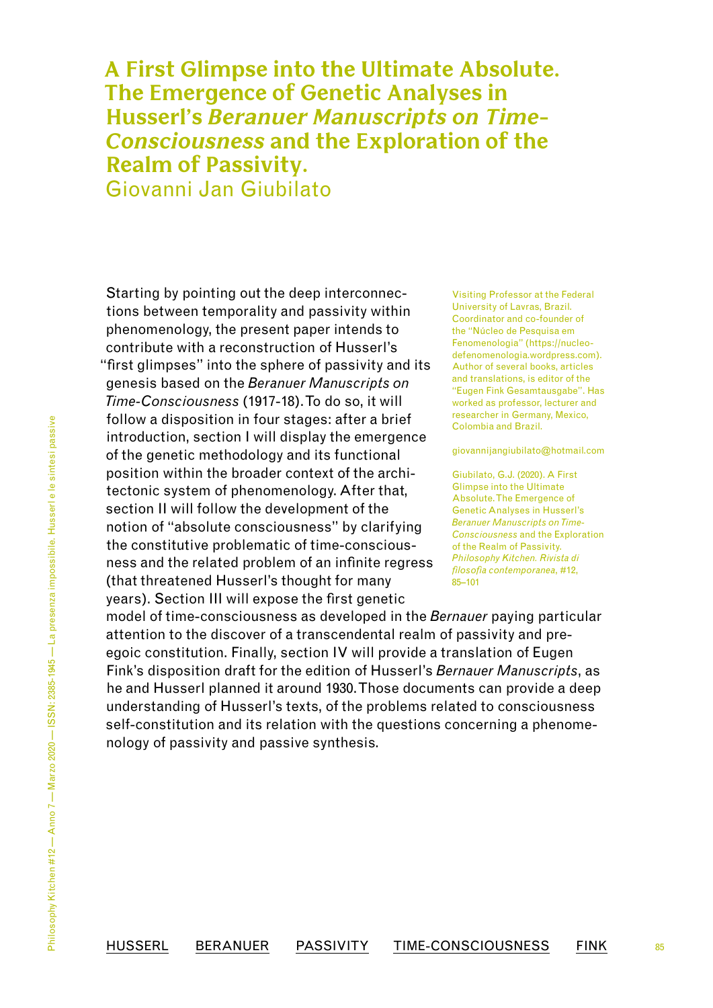# **A First Glimpse into the Ultimate Absolute. The Emergence of Genetic Analyses in Husserl's** *Beranuer Manuscripts on Time-Consciousness* **and the Exploration of the Realm of Passivity.** Giovanni Jan Giubilato

<span id="page-0-0"></span>Starting by pointing out the deep interconnections between temporality and passivity within phenomenology, the present paper intends to contribute with a reconstruction of Husserl's "first glimpses" into the sphere of passivity and its genesis based on the *Beranuer Manuscripts on Time-Consciousness* (1917-18). To do so, it will follow a disposition in four stages: after a brief introduction, section I will display the emergence of the genetic methodology and its functional position within the broader context of the architectonic system of phenomenology. After that, section II will follow the development of the notion of "absolute consciousness" by clarifying the constitutive problematic of time-consciousness and the related problem of an infinite regress (that threatened Husserl's thought for many years). Section III will expose the first genetic

Visiting Professor at the Federal University of Lavras, Brazil. Coordinator and co-founder of the "Núcleo de Pesquisa em Fenomenologia" ([https://nucleo](https://nucleodefenomenologia.wordpress.com/)[defenomenologia.wordpress.com\)](https://nucleodefenomenologia.wordpress.com/). Author of several books, articles and translations, is editor of the "Eugen Fink Gesamtausgabe". Has worked as professor, lecturer and researcher in Germany, Mexico, Colombia and Brazil.

[giovannijangiubilato@hotmail.com](mailto:giovannijangiubilato@hotmail.com)

Giubilato, G.J. (2020). A First Glimpse into the Ultimate Absolute. The Emergence of Genetic Analyses in Husserl's *Beranuer Manuscripts on Time-Consciousness* and the Exploration of the Realm of Passivity. *Philosophy Kitchen. Rivista di filosofia contemporanea*, #12, [85](#page-0-0)[–101](#page-16-0)

85

model of time-consciousness as developed in the *Bernauer* paying particular attention to the discover of a transcendental realm of passivity and preegoic constitution. Finally, section IV will provide a translation of Eugen Fink's disposition draft for the edition of Husserl's *Bernauer Manuscripts*, as he and Husserl planned it around 1930. Those documents can provide a deep understanding of Husserl's texts, of the problems related to consciousness self-constitution and its relation with the questions concerning a phenomenology of passivity and passive synthesis.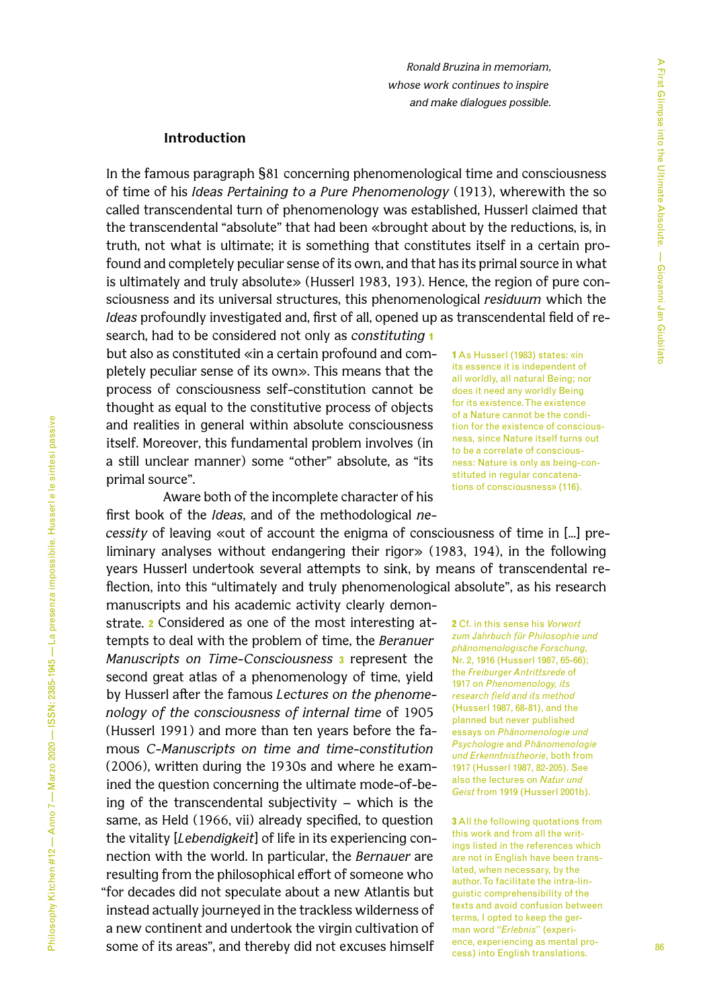*Ronald Bruzina in memoriam, whose work continues to inspire and make dialogues possible.*

### **Introduction**

In the famous paragraph §81 concerning phenomenological time and consciousness of time of his *Ideas Pertaining to a Pure Phenomenology* (1913), wherewith the so called transcendental turn of phenomenology was established, Husserl claimed that the transcendental "absolute" that had been «brought about by the reductions, is, in truth, not what is ultimate; it is something that constitutes itself in a certain profound and completely peculiar sense of its own, and that has its primal source in what is ultimately and truly absolute» (Husserl 1983, 193). Hence, the region of pure consciousness and its universal structures, this phenomenological *residuum* which the *Ideas* profoundly investigated and, first of all, opened up as transcendental field of re-

search, had to be considered not only as *constituting* **1** but also as constituted «in a certain profound and completely peculiar sense of its own». This means that the process of consciousness self-constitution cannot be thought as equal to the constitutive process of objects and realities in general within absolute consciousness itself. Moreover, this fundamental problem involves (in a still unclear manner) some "other" absolute, as "its primal source".

Aware both of the incomplete character of his first book of the *Ideas*, and of the methodological *ne-*

*cessity* of leaving «out of account the enigma of consciousness of time in [...] preliminary analyses without endangering their rigor» (1983, 194), in the following years Husserl undertook several attempts to sink, by means of transcendental reflection, into this "ultimately and truly phenomenological absolute", as his research

manuscripts and his academic activity clearly demonstrate. **2** Considered as one of the most interesting attempts to deal with the problem of time, the *Beranuer Manuscripts on Time-Consciousness* **3** represent the second great atlas of a phenomenology of time, yield by Husserl after the famous *Lectures on the phenomenology of the consciousness of internal time* of 1905 (Husserl 1991) and more than ten years before the famous *C-Manuscripts on time and time-constitution* (2006), written during the 1930s and where he examined the question concerning the ultimate mode-of-being of the transcendental subjectivity – which is the same, as Held (1966, vii) already specified, to question the vitality [*Lebendigkeit*] of life in its experiencing connection with the world. In particular, the *Bernauer* are resulting from the philosophical effort of someone who "for decades did not speculate about a new Atlantis but instead actually journeyed in the trackless wilderness of a new continent and undertook the virgin cultivation of some of its areas", and thereby did not excuses himself

**1** As Husserl (1983) states: «in its essence it is independent of all worldly, all natural Being; nor does it need any worldly Being for its existence. The existence of a Nature cannot be the condition for the existence of consciousness, since Nature itself turns out to be a correlate of consciousness: Nature is only as being-constituted in regular concatenations of consciousness» (116).

**2** Cf. in this sense his *Vorwort zum Jahrbuch für Philosophie und phänomenologische Forschung*, Nr. 2, 1916 (Husserl 1987, 65-66); the *Freiburger Antrittsrede* of 1917 on *Phenomenology, its research field and its method*  (Husserl 1987, 68-81), and the planned but never published essays on *Phänomenologie und Psychologie* and *Phänomenologie und Erkenntnistheorie*, both from 1917 (Husserl 1987, 82-205). See also the lectures on *Natur und Geist* from 1919 (Husserl 2001b).

**3** All the following quotations from this work and from all the writings listed in the references which are not in English have been translated, when necessary, by the author. To facilitate the intra-linguistic comprehensibility of the texts and avoid confusion between terms, I opted to keep the german word "*Erlebnis*" (experience, experiencing as mental process) into English translations.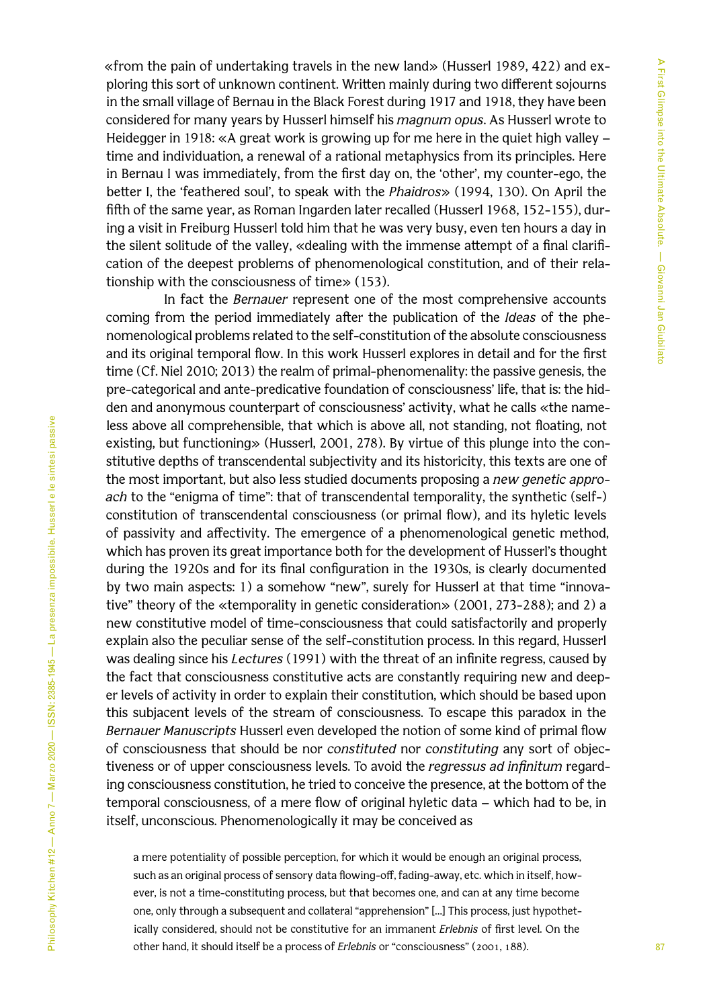«from the pain of undertaking travels in the new land» (Husserl 1989, 422) and exploring this sort of unknown continent. Written mainly during two different sojourns in the small village of Bernau in the Black Forest during 1917 and 1918, they have been considered for many years by Husserl himself his *magnum opus*. As Husserl wrote to Heidegger in 1918: «A great work is growing up for me here in the quiet high valley – time and individuation, a renewal of a rational metaphysics from its principles. Here in Bernau I was immediately, from the first day on, the 'other', my counter-ego, the better I, the 'feathered soul', to speak with the *Phaidros*» (1994, 130). On April the fifth of the same year, as Roman Ingarden later recalled (Husserl 1968, 152-155), during a visit in Freiburg Husserl told him that he was very busy, even ten hours a day in the silent solitude of the valley, «dealing with the immense attempt of a final clarification of the deepest problems of phenomenological constitution, and of their relationship with the consciousness of time» (153).

In fact the *Bernauer* represent one of the most comprehensive accounts coming from the period immediately after the publication of the *Ideas* of the phenomenological problems related to the self-constitution of the absolute consciousness and its original temporal flow. In this work Husserl explores in detail and for the first time (Cf. Niel 2010; 2013) the realm of primal-phenomenality: the passive genesis, the pre-categorical and ante-predicative foundation of consciousness' life, that is: the hidden and anonymous counterpart of consciousness' activity, what he calls «the nameless above all comprehensible, that which is above all, not standing, not floating, not existing, but functioning» (Husserl, 2001, 278). By virtue of this plunge into the constitutive depths of transcendental subjectivity and its historicity, this texts are one of the most important, but also less studied documents proposing a *new genetic approach* to the "enigma of time": that of transcendental temporality, the synthetic (self-) constitution of transcendental consciousness (or primal flow), and its hyletic levels of passivity and affectivity. The emergence of a phenomenological genetic method, which has proven its great importance both for the development of Husserl's thought during the 1920s and for its final configuration in the 1930s, is clearly documented by two main aspects: 1) a somehow "new", surely for Husserl at that time "innovative" theory of the «temporality in genetic consideration» (2001, 273-288); and 2) a new constitutive model of time-consciousness that could satisfactorily and properly explain also the peculiar sense of the self-constitution process. In this regard, Husserl was dealing since his *Lectures* (1991) with the threat of an infinite regress, caused by the fact that consciousness constitutive acts are constantly requiring new and deeper levels of activity in order to explain their constitution, which should be based upon this subjacent levels of the stream of consciousness. To escape this paradox in the *Bernauer Manuscripts* Husserl even developed the notion of some kind of primal flow of consciousness that should be nor *constituted* nor *constituting* any sort of objectiveness or of upper consciousness levels. To avoid the *regressus ad infinitum* regarding consciousness constitution, he tried to conceive the presence, at the bottom of the temporal consciousness, of a mere flow of original hyletic data – which had to be, in itself, unconscious. Phenomenologically it may be conceived as

a mere potentiality of possible perception, for which it would be enough an original process, such as an original process of sensory data flowing-off, fading-away, etc. which in itself, however, is not a time-constituting process, but that becomes one, and can at any time become one, only through a subsequent and collateral "apprehension" […] This process, just hypothetically considered, should not be constitutive for an immanent *Erlebnis* of first level. On the other hand, it should itself be a process of *Erlebnis* or "consciousness" (2001, 188).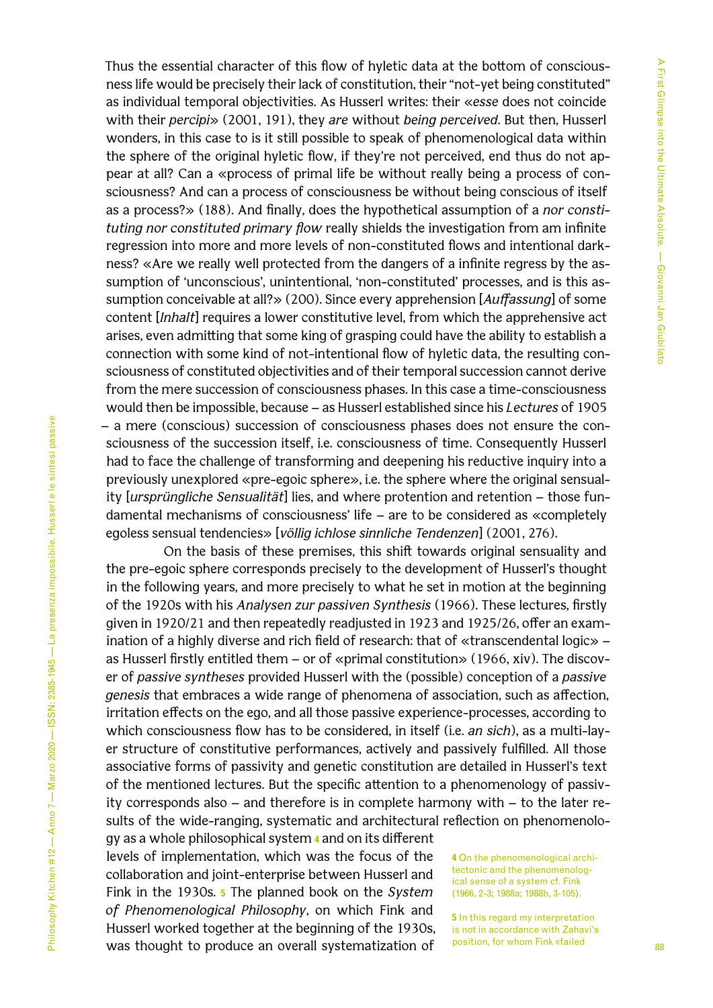Thus the essential character of this flow of hyletic data at the bottom of consciousness life would be precisely their lack of constitution, their "not-yet being constituted" as individual temporal objectivities. As Husserl writes: their «*esse* does not coincide with their *percipi*» (2001, 191), they *are* without *being perceived*. But then, Husserl wonders, in this case to is it still possible to speak of phenomenological data within the sphere of the original hyletic flow, if they're not perceived, end thus do not appear at all? Can a «process of primal life be without really being a process of consciousness? And can a process of consciousness be without being conscious of itself as a process?» (188). And finally, does the hypothetical assumption of a *nor constituting nor constituted primary flow* really shields the investigation from am infinite regression into more and more levels of non-constituted flows and intentional darkness? «Are we really well protected from the dangers of a infinite regress by the assumption of 'unconscious', unintentional, 'non-constituted' processes, and is this assumption conceivable at all?» (200). Since every apprehension [*Auffassung*] of some content [*Inhalt*] requires a lower constitutive level, from which the apprehensive act arises, even admitting that some king of grasping could have the ability to establish a connection with some kind of not-intentional flow of hyletic data, the resulting consciousness of constituted objectivities and of their temporal succession cannot derive from the mere succession of consciousness phases. In this case a time-consciousness would then be impossible, because – as Husserl established since his *Lectures* of 1905 – a mere (conscious) succession of consciousness phases does not ensure the consciousness of the succession itself, i.e. consciousness of time. Consequently Husserl had to face the challenge of transforming and deepening his reductive inquiry into a previously unexplored «pre-egoic sphere», i.e. the sphere where the original sensuality [*ursprüngliche Sensualität*] lies, and where protention and retention – those fundamental mechanisms of consciousness' life – are to be considered as «completely egoless sensual tendencies» [*völlig ichlose sinnliche Tendenzen*] (2001, 276).

On the basis of these premises, this shift towards original sensuality and the pre-egoic sphere corresponds precisely to the development of Husserl's thought in the following years, and more precisely to what he set in motion at the beginning of the 1920s with his *Analysen zur passiven Synthesis* (1966). These lectures, firstly given in 1920/21 and then repeatedly readjusted in 1923 and 1925/26, offer an examination of a highly diverse and rich field of research: that of «transcendental logic» – as Husserl firstly entitled them – or of «primal constitution» (1966, xiv). The discover of *passive syntheses* provided Husserl with the (possible) conception of a *passive genesis* that embraces a wide range of phenomena of association, such as affection, irritation effects on the ego, and all those passive experience-processes, according to which consciousness flow has to be considered, in itself (i.e. *an sich*), as a multi-layer structure of constitutive performances, actively and passively fulfilled. All those associative forms of passivity and genetic constitution are detailed in Husserl's text of the mentioned lectures. But the specific attention to a phenomenology of passivity corresponds also – and therefore is in complete harmony with – to the later results of the wide-ranging, systematic and architectural reflection on phenomenolo-

gy as a whole philosophical system **4** and on its different levels of implementation, which was the focus of the collaboration and joint-enterprise between Husserl and Fink in the 1930s. **5** The planned book on the *System of Phenomenological Philosophy*, on which Fink and Husserl worked together at the beginning of the 1930s, was thought to produce an overall systematization of

**4** On the phenomenological architectonic and the phenomenological sense of a system cf. Fink (1966, 2-3; 1988a; 1988b, 3-105).

**5** In this regard my interpretation is not in accordance with Zahavi's position, for whom Fink «failed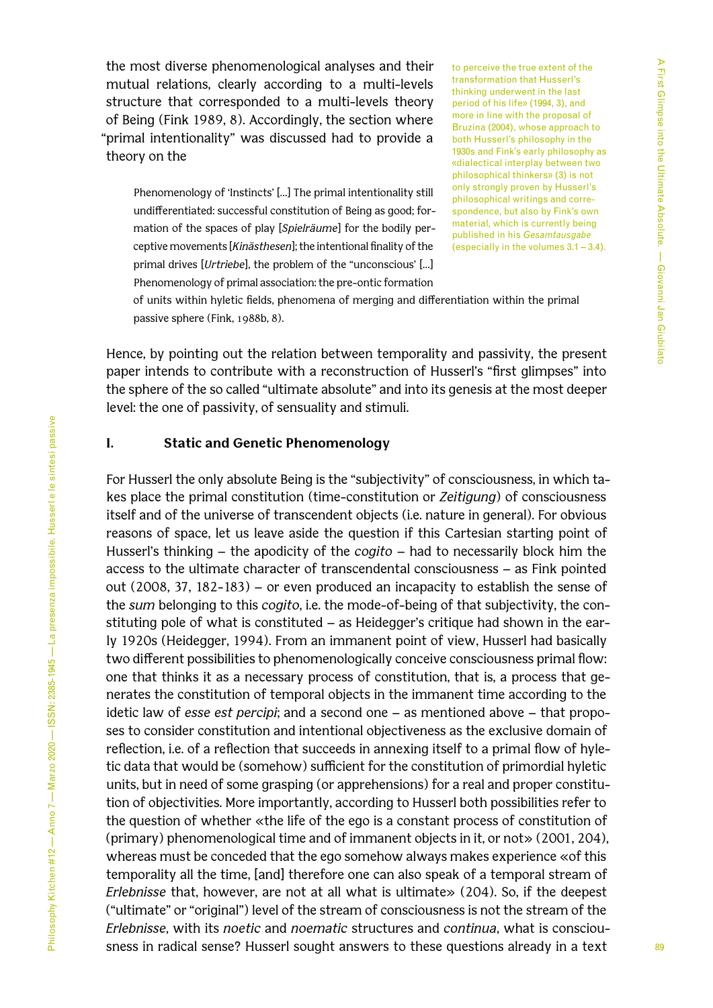the most diverse phenomenological analyses and their mutual relations, clearly according to a multi-levels structure that corresponded to a multi-levels theory of Being (Fink 1989, 8). Accordingly, the section where "primal intentionality" was discussed had to provide a theory on the

Phenomenology of 'Instincts' […] The primal intentionality still undifferentiated: successful constitution of Being as good; formation of the spaces of play [*Spielräume*] for the bodily perceptive movements [*Kinästhesen*]; the intentional finality of the primal drives [*Urtriebe*], the problem of the "unconscious' […] Phenomenology of primal association: the pre-ontic formation

to perceive the true extent of the transformation that Husserl's thinking underwent in the last period of his life» (1994, 3), and more in line with the proposal of Bruzina (2004), whose approach to both Husserl's philosophy in the 1930s and Fink's early philosophy as «dialectical interplay between two philosophical thinkers» (3) is not only strongly proven by Husserl's philosophical writings and correspondence, but also by Fink's own material, which is currently being published in his *Gesamtausgabe* (especially in the volumes 3.1 – 3.4).

of units within hyletic fields, phenomena of merging and differentiation within the primal passive sphere (Fink, 1988b, 8).

Hence, by pointing out the relation between temporality and passivity, the present paper intends to contribute with a reconstruction of Husserl's "first glimpses" into the sphere of the so called "ultimate absolute" and into its genesis at the most deeper level: the one of passivity, of sensuality and stimuli.

### **I. Static and Genetic Phenomenology**

For Husserl the only absolute Being is the "subjectivity" of consciousness, in which takes place the primal constitution (time-constitution or *Zeitigung*) of consciousness itself and of the universe of transcendent objects (i.e. nature in general). For obvious reasons of space, let us leave aside the question if this Cartesian starting point of Husserl's thinking – the apodicity of the *cogito* – had to necessarily block him the access to the ultimate character of transcendental consciousness – as Fink pointed out (2008, 37, 182-183) – or even produced an incapacity to establish the sense of the *sum* belonging to this *cogito*, i.e. the mode-of-being of that subjectivity, the constituting pole of what is constituted – as Heidegger's critique had shown in the early 1920s (Heidegger, 1994). From an immanent point of view, Husserl had basically two different possibilities to phenomenologically conceive consciousness primal flow: one that thinks it as a necessary process of constitution, that is, a process that generates the constitution of temporal objects in the immanent time according to the idetic law of *esse est percipi*; and a second one – as mentioned above – that proposes to consider constitution and intentional objectiveness as the exclusive domain of reflection, i.e. of a reflection that succeeds in annexing itself to a primal flow of hyletic data that would be (somehow) sufficient for the constitution of primordial hyletic units, but in need of some grasping (or apprehensions) for a real and proper constitution of objectivities. More importantly, according to Husserl both possibilities refer to the question of whether «the life of the ego is a constant process of constitution of (primary) phenomenological time and of immanent objects in it, or not» (2001, 204), whereas must be conceded that the ego somehow always makes experience «of this temporality all the time, [and] therefore one can also speak of a temporal stream of *Erlebnisse* that, however, are not at all what is ultimate» (204). So, if the deepest ("ultimate" or "original") level of the stream of consciousness is not the stream of the *Erlebnisse*, with its *noetic* and *noematic* structures and *continua*, what is consciousness in radical sense? Husserl sought answers to these questions already in a text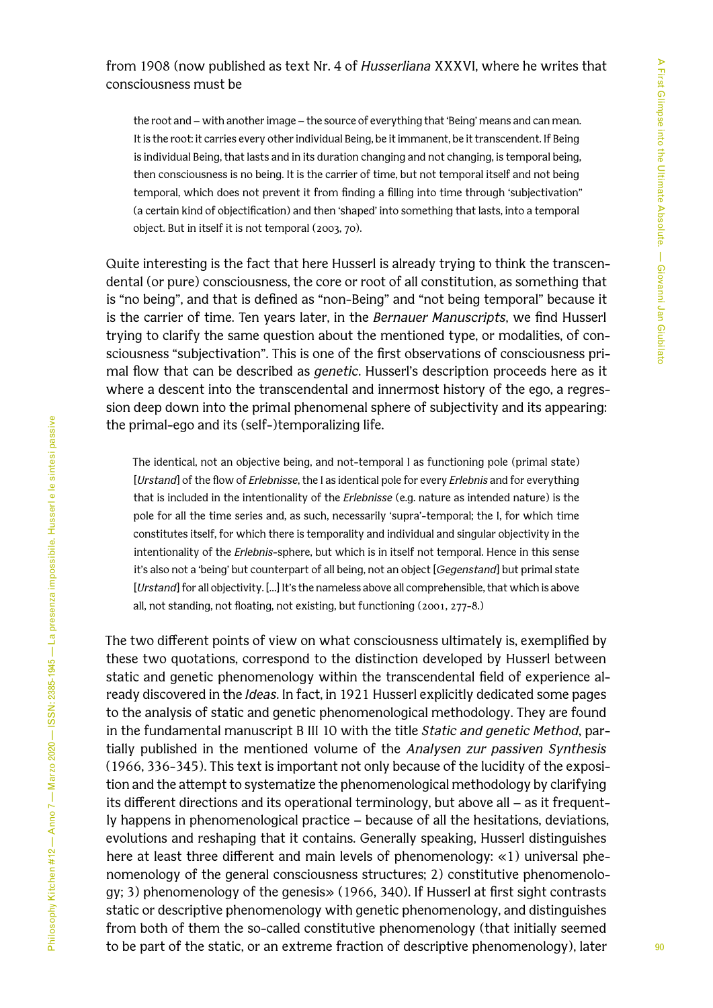the root and – with another image – the source of everything that 'Being' means and can mean. It is the root: it carries every other individual Being, be it immanent, be it transcendent. If Being is individual Being, that lasts and in its duration changing and not changing, is temporal being, then consciousness is no being. It is the carrier of time, but not temporal itself and not being temporal, which does not prevent it from finding a filling into time through 'subjectivation" (a certain kind of objectification) and then 'shaped' into something that lasts, into a temporal object. But in itself it is not temporal (2003, 70).

Quite interesting is the fact that here Husserl is already trying to think the transcendental (or pure) consciousness, the core or root of all constitution, as something that is "no being", and that is defined as "non-Being" and "not being temporal" because it is the carrier of time. Ten years later, in the *Bernauer Manuscripts*, we find Husserl trying to clarify the same question about the mentioned type, or modalities, of consciousness "subjectivation". This is one of the first observations of consciousness primal flow that can be described as *genetic*. Husserl's description proceeds here as it where a descent into the transcendental and innermost history of the ego, a regression deep down into the primal phenomenal sphere of subjectivity and its appearing: the primal-ego and its (self-)temporalizing life.

The identical, not an objective being, and not-temporal I as functioning pole (primal state) [*Urstand*] of the flow of *Erlebnisse*, the I as identical pole for every *Erlebnis* and for everything that is included in the intentionality of the *Erlebnisse* (e.g. nature as intended nature) is the pole for all the time series and, as such, necessarily 'supra'-temporal; the I, for which time constitutes itself, for which there is temporality and individual and singular objectivity in the intentionality of the *Erlebnis*-sphere, but which is in itself not temporal. Hence in this sense it's also not a 'being' but counterpart of all being, not an object [*Gegenstand*] but primal state [*Urstand*] for all objectivity. […] It's the nameless above all comprehensible, that which is above all, not standing, not floating, not existing, but functioning (2001, 277-8.)

The two different points of view on what consciousness ultimately is, exemplified by these two quotations, correspond to the distinction developed by Husserl between static and genetic phenomenology within the transcendental field of experience already discovered in the *Ideas*. In fact, in 1921 Husserl explicitly dedicated some pages to the analysis of static and genetic phenomenological methodology. They are found in the fundamental manuscript B III 10 with the title *Static and genetic Method*, partially published in the mentioned volume of the *Analysen zur passiven Synthesis* (1966, 336-345). This text is important not only because of the lucidity of the exposition and the attempt to systematize the phenomenological methodology by clarifying its different directions and its operational terminology, but above all – as it frequently happens in phenomenological practice – because of all the hesitations, deviations, evolutions and reshaping that it contains. Generally speaking, Husserl distinguishes here at least three different and main levels of phenomenology: «1) universal phenomenology of the general consciousness structures; 2) constitutive phenomenology; 3) phenomenology of the genesis» (1966, 340). If Husserl at first sight contrasts static or descriptive phenomenology with genetic phenomenology, and distinguishes from both of them the so-called constitutive phenomenology (that initially seemed to be part of the static, or an extreme fraction of descriptive phenomenology), later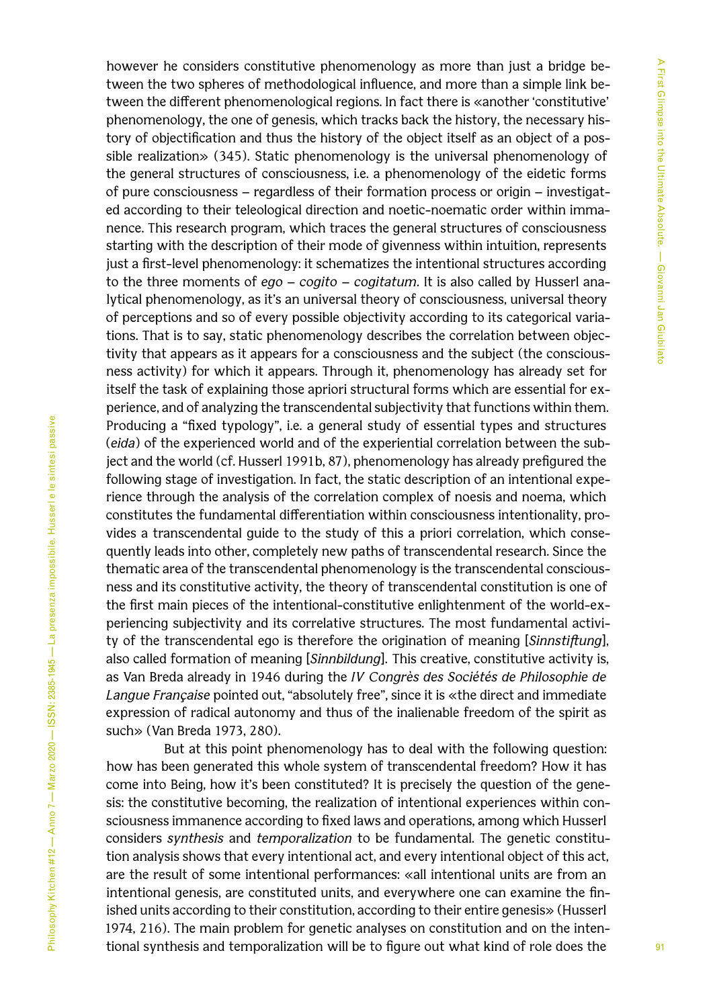however he considers constitutive phenomenology as more than just a bridge between the two spheres of methodological influence, and more than a simple link between the different phenomenological regions. In fact there is «another 'constitutive' phenomenology, the one of genesis, which tracks back the history, the necessary history of objectification and thus the history of the object itself as an object of a possible realization» (345). Static phenomenology is the universal phenomenology of the general structures of consciousness, i.e. a phenomenology of the eidetic forms of pure consciousness – regardless of their formation process or origin – investigated according to their teleological direction and noetic-noematic order within immanence. This research program, which traces the general structures of consciousness starting with the description of their mode of givenness within intuition, represents just a first-level phenomenology: it schematizes the intentional structures according to the three moments of *ego* – *cogito* – *cogitatum*. It is also called by Husserl analytical phenomenology, as it's an universal theory of consciousness, universal theory of perceptions and so of every possible objectivity according to its categorical variations. That is to say, static phenomenology describes the correlation between objectivity that appears as it appears for a consciousness and the subject (the consciousness activity) for which it appears. Through it, phenomenology has already set for itself the task of explaining those apriori structural forms which are essential for experience, and of analyzing the transcendental subjectivity that functions within them. Producing a "fixed typology", i.e. a general study of essential types and structures (*eida*) of the experienced world and of the experiential correlation between the subject and the world (cf. Husserl 1991b, 87), phenomenology has already prefigured the following stage of investigation. In fact, the static description of an intentional experience through the analysis of the correlation complex of noesis and noema, which constitutes the fundamental differentiation within consciousness intentionality, provides a transcendental guide to the study of this a priori correlation, which consequently leads into other, completely new paths of transcendental research. Since the thematic area of the transcendental phenomenology is the transcendental consciousness and its constitutive activity, the theory of transcendental constitution is one of the first main pieces of the intentional-constitutive enlightenment of the world-experiencing subjectivity and its correlative structures. The most fundamental activity of the transcendental ego is therefore the origination of meaning [*Sinnstiftung*], also called formation of meaning [*Sinnbildung*]*.* This creative, constitutive activity is, as Van Breda already in 1946 during the *IV Congrès des Sociétés de Philosophie de Langue Française* pointed out, "absolutely free", since it is «the direct and immediate expression of radical autonomy and thus of the inalienable freedom of the spirit as such» (Van Breda 1973, 280).

But at this point phenomenology has to deal with the following question: how has been generated this whole system of transcendental freedom? How it has come into Being, how it's been constituted? It is precisely the question of the genesis: the constitutive becoming, the realization of intentional experiences within consciousness immanence according to fixed laws and operations, among which Husserl considers *synthesis* and *temporalization* to be fundamental. The genetic constitution analysis shows that every intentional act, and every intentional object of this act, are the result of some intentional performances: «all intentional units are from an intentional genesis, are constituted units, and everywhere one can examine the finished units according to their constitution, according to their entire genesis» (Husserl 1974, 216). The main problem for genetic analyses on constitution and on the intentional synthesis and temporalization will be to figure out what kind of role does the

Philosophy Kitchen #12 — Anno 7 — Marzo 2020 — ISSN: 2385-1945 — La presenza impossibile. Husserl e le sintesi passive

Philosophy Kitchen #12 — Anno 7 — Marzo 2020 — ISSN: 2385-1945 — La presenza impossibile. Husserl e le sintesi passive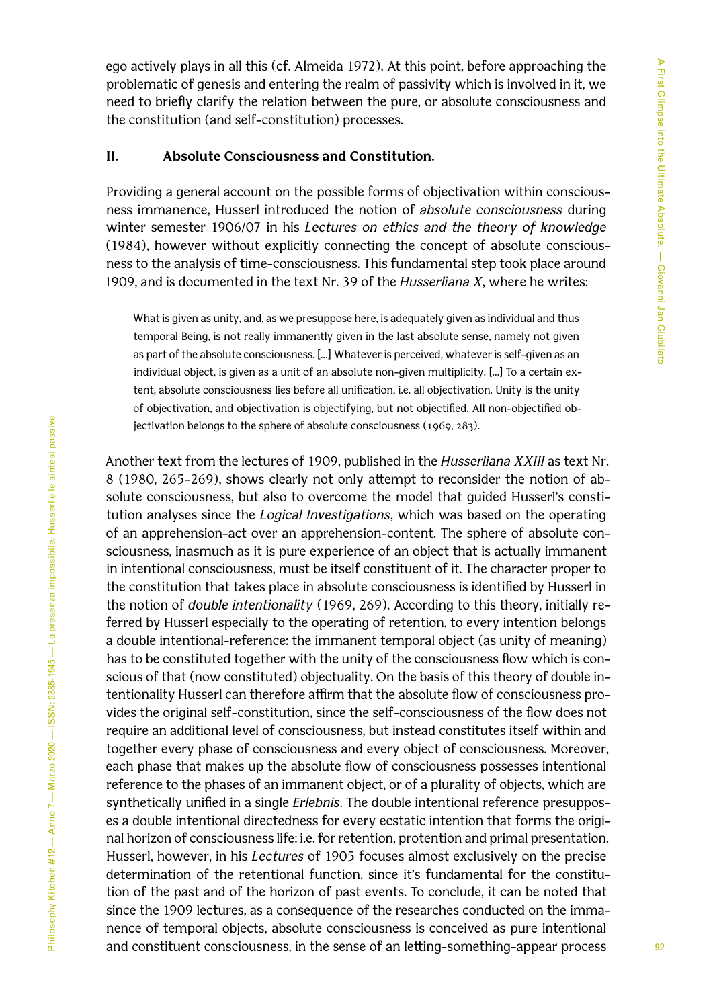ego actively plays in all this (cf. Almeida 1972). At this point, before approaching the problematic of genesis and entering the realm of passivity which is involved in it, we need to briefly clarify the relation between the pure, or absolute consciousness and the constitution (and self-constitution) processes.

## **II. Absolute Consciousness and Constitution.**

Providing a general account on the possible forms of objectivation within consciousness immanence, Husserl introduced the notion of *absolute consciousness* during winter semester 1906/07 in his *Lectures on ethics and the theory of knowledge* (1984), however without explicitly connecting the concept of absolute consciousness to the analysis of time-consciousness. This fundamental step took place around 1909, and is documented in the text Nr. 39 of the *Husserliana X*, where he writes:

What is given as unity, and, as we presuppose here, is adequately given as individual and thus temporal Being, is not really immanently given in the last absolute sense, namely not given as part of the absolute consciousness. […] Whatever is perceived, whatever is self-given as an individual object, is given as a unit of an absolute non-given multiplicity. […] To a certain extent, absolute consciousness lies before all unification, i.e. all objectivation. Unity is the unity of objectivation, and objectivation is objectifying, but not objectified. All non-objectified objectivation belongs to the sphere of absolute consciousness (1969, 283).

Another text from the lectures of 1909, published in the *Husserliana XXIII* as text Nr. 8 (1980, 265-269), shows clearly not only attempt to reconsider the notion of absolute consciousness, but also to overcome the model that guided Husserl's constitution analyses since the *Logical Investigations*, which was based on the operating of an apprehension-act over an apprehension-content. The sphere of absolute consciousness, inasmuch as it is pure experience of an object that is actually immanent in intentional consciousness, must be itself constituent of it. The character proper to the constitution that takes place in absolute consciousness is identified by Husserl in the notion of *double intentionality* (1969, 269). According to this theory, initially referred by Husserl especially to the operating of retention, to every intention belongs a double intentional-reference: the immanent temporal object (as unity of meaning) has to be constituted together with the unity of the consciousness flow which is conscious of that (now constituted) objectuality. On the basis of this theory of double intentionality Husserl can therefore affirm that the absolute flow of consciousness provides the original self-constitution, since the self-consciousness of the flow does not require an additional level of consciousness, but instead constitutes itself within and together every phase of consciousness and every object of consciousness. Moreover, each phase that makes up the absolute flow of consciousness possesses intentional reference to the phases of an immanent object, or of a plurality of objects, which are synthetically unified in a single *Erlebnis*. The double intentional reference presupposes a double intentional directedness for every ecstatic intention that forms the original horizon of consciousness life: i.e. for retention, protention and primal presentation. Husserl, however, in his *Lectures* of 1905 focuses almost exclusively on the precise determination of the retentional function, since it's fundamental for the constitution of the past and of the horizon of past events. To conclude, it can be noted that since the 1909 lectures, as a consequence of the researches conducted on the immanence of temporal objects, absolute consciousness is conceived as pure intentional and constituent consciousness, in the sense of an letting-something-appear process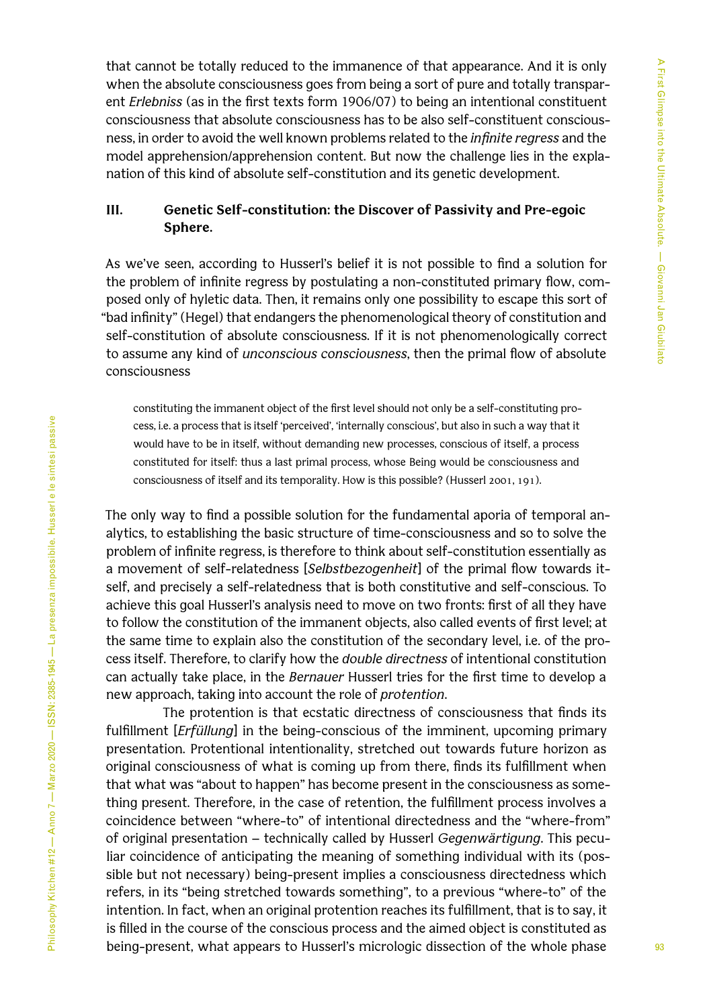that cannot be totally reduced to the immanence of that appearance. And it is only when the absolute consciousness goes from being a sort of pure and totally transparent *Erlebniss* (as in the first texts form 1906/07) to being an intentional constituent consciousness that absolute consciousness has to be also self-constituent consciousness, in order to avoid the well known problems related to the *infinite regress* and the model apprehension/apprehension content. But now the challenge lies in the explanation of this kind of absolute self-constitution and its genetic development.

# **III. Genetic Self-constitution: the Discover of Passivity and Pre-egoic Sphere.**

As we've seen, according to Husserl's belief it is not possible to find a solution for the problem of infinite regress by postulating a non-constituted primary flow, composed only of hyletic data. Then, it remains only one possibility to escape this sort of "bad infinity" (Hegel) that endangers the phenomenological theory of constitution and self-constitution of absolute consciousness. If it is not phenomenologically correct to assume any kind of *unconscious consciousness*, then the primal flow of absolute consciousness

constituting the immanent object of the first level should not only be a self-constituting process, i.e. a process that is itself 'perceived', 'internally conscious', but also in such a way that it would have to be in itself, without demanding new processes, conscious of itself, a process constituted for itself: thus a last primal process, whose Being would be consciousness and consciousness of itself and its temporality. How is this possible? (Husserl 2001, 191).

The only way to find a possible solution for the fundamental aporia of temporal analytics, to establishing the basic structure of time-consciousness and so to solve the problem of infinite regress, is therefore to think about self-constitution essentially as a movement of self-relatedness [*Selbstbezogenheit*] of the primal flow towards itself, and precisely a self-relatedness that is both constitutive and self-conscious. To achieve this goal Husserl's analysis need to move on two fronts: first of all they have to follow the constitution of the immanent objects, also called events of first level; at the same time to explain also the constitution of the secondary level, i.e. of the process itself. Therefore, to clarify how the *double directness* of intentional constitution can actually take place, in the *Bernauer* Husserl tries for the first time to develop a new approach, taking into account the role of *protention*.

The protention is that ecstatic directness of consciousness that finds its fulfillment [*Erfüllung*] in the being-conscious of the imminent, upcoming primary presentation. Protentional intentionality, stretched out towards future horizon as original consciousness of what is coming up from there, finds its fulfillment when that what was "about to happen" has become present in the consciousness as something present. Therefore, in the case of retention, the fulfillment process involves a coincidence between "where-to" of intentional directedness and the "where-from" of original presentation – technically called by Husserl *Gegenwärtigung*. This peculiar coincidence of anticipating the meaning of something individual with its (possible but not necessary) being-present implies a consciousness directedness which refers, in its "being stretched towards something", to a previous "where-to" of the intention. In fact, when an original protention reaches its fulfillment, that is to say, it is filled in the course of the conscious process and the aimed object is constituted as being-present, what appears to Husserl's micrologic dissection of the whole phase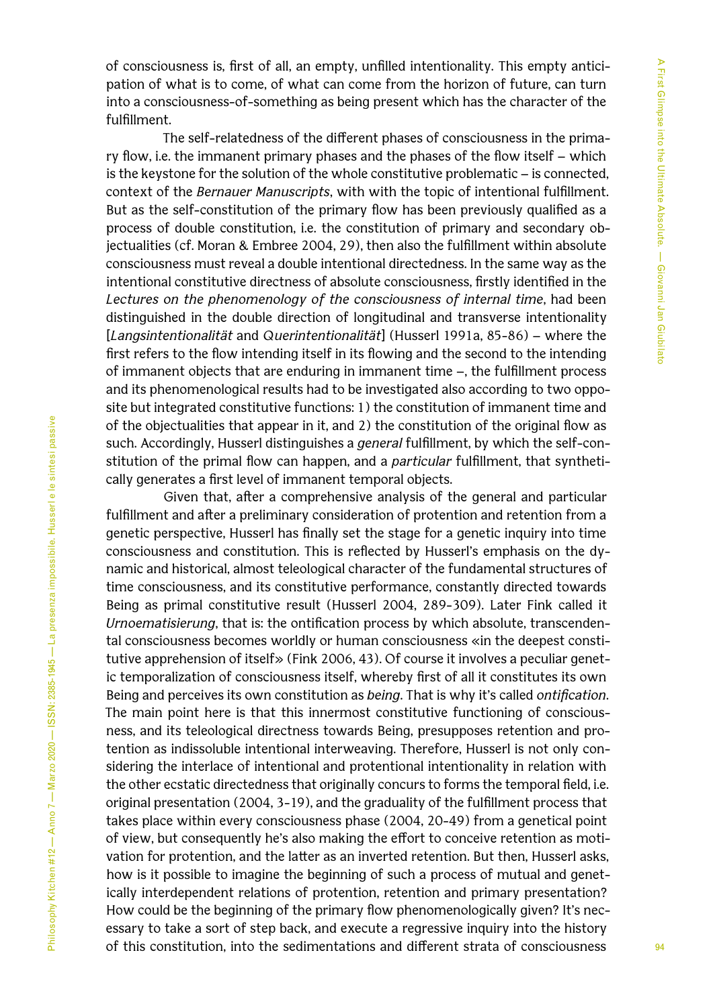of consciousness is, first of all, an empty, unfilled intentionality. This empty anticipation of what is to come, of what can come from the horizon of future, can turn into a consciousness-of-something as being present which has the character of the fulfillment.

The self-relatedness of the different phases of consciousness in the primary flow, i.e. the immanent primary phases and the phases of the flow itself – which is the keystone for the solution of the whole constitutive problematic – is connected, context of the *Bernauer Manuscripts*, with with the topic of intentional fulfillment. But as the self-constitution of the primary flow has been previously qualified as a process of double constitution, i.e. the constitution of primary and secondary objectualities (cf. Moran & Embree 2004, 29), then also the fulfillment within absolute consciousness must reveal a double intentional directedness. In the same way as the intentional constitutive directness of absolute consciousness, firstly identified in the *Lectures on the phenomenology of the consciousness of internal time*, had been distinguished in the double direction of longitudinal and transverse intentionality [*Langsintentionalität* and *Querintentionalität*] (Husserl 1991a, 85-86) – where the first refers to the flow intending itself in its flowing and the second to the intending of immanent objects that are enduring in immanent time –, the fulfillment process and its phenomenological results had to be investigated also according to two opposite but integrated constitutive functions: 1) the constitution of immanent time and of the objectualities that appear in it, and 2) the constitution of the original flow as such. Accordingly, Husserl distinguishes a *general* fulfillment, by which the self-constitution of the primal flow can happen, and a *particular* fulfillment, that synthetically generates a first level of immanent temporal objects.

Given that, after a comprehensive analysis of the general and particular fulfillment and after a preliminary consideration of protention and retention from a genetic perspective, Husserl has finally set the stage for a genetic inquiry into time consciousness and constitution. This is reflected by Husserl's emphasis on the dynamic and historical, almost teleological character of the fundamental structures of time consciousness, and its constitutive performance, constantly directed towards Being as primal constitutive result (Husserl 2004, 289-309). Later Fink called it *Urnoematisierung*, that is: the ontification process by which absolute, transcendental consciousness becomes worldly or human consciousness «in the deepest constitutive apprehension of itself» (Fink 2006, 43). Of course it involves a peculiar genetic temporalization of consciousness itself, whereby first of all it constitutes its own Being and perceives its own constitution as *being*. That is why it's called *ontification*. The main point here is that this innermost constitutive functioning of consciousness, and its teleological directness towards Being, presupposes retention and protention as indissoluble intentional interweaving. Therefore, Husserl is not only considering the interlace of intentional and protentional intentionality in relation with the other ecstatic directedness that originally concurs to forms the temporal field, i.e. original presentation (2004, 3-19), and the graduality of the fulfillment process that takes place within every consciousness phase (2004, 20-49) from a genetical point of view, but consequently he's also making the effort to conceive retention as motivation for protention, and the latter as an inverted retention. But then, Husserl asks, how is it possible to imagine the beginning of such a process of mutual and genetically interdependent relations of protention, retention and primary presentation? How could be the beginning of the primary flow phenomenologically given? It's necessary to take a sort of step back, and execute a regressive inquiry into the history of this constitution, into the sedimentations and different strata of consciousness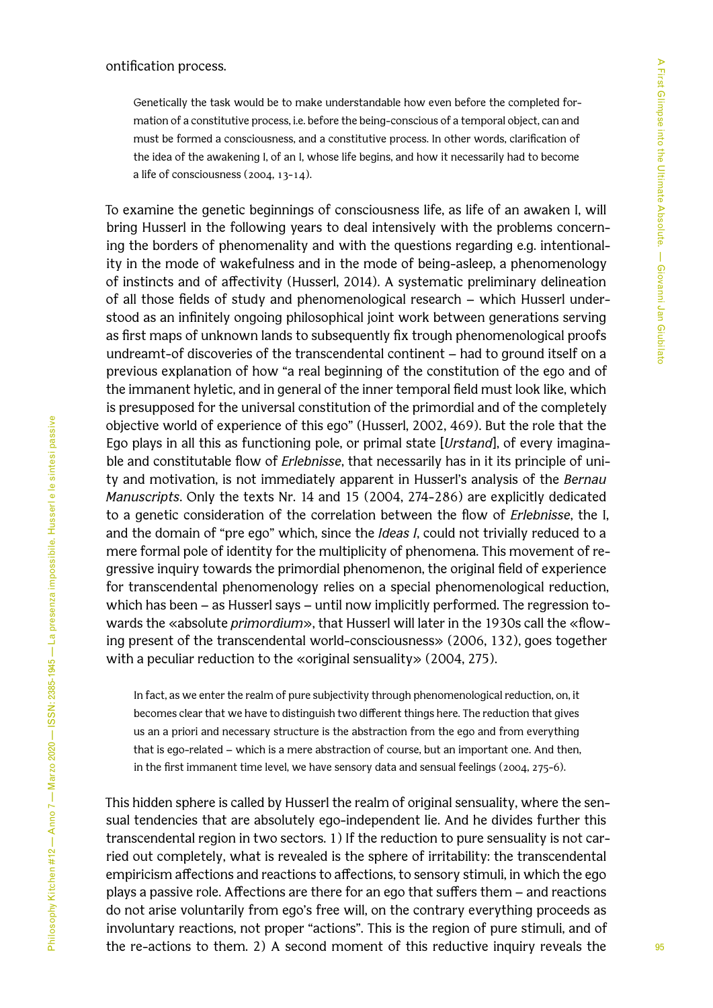Genetically the task would be to make understandable how even before the completed formation of a constitutive process, i.e. before the being-conscious of a temporal object, can and must be formed a consciousness, and a constitutive process. In other words, clarification of the idea of the awakening I, of an I, whose life begins, and how it necessarily had to become a life of consciousness (2004, 13-14).

To examine the genetic beginnings of consciousness life, as life of an awaken I, will bring Husserl in the following years to deal intensively with the problems concerning the borders of phenomenality and with the questions regarding e.g. intentionality in the mode of wakefulness and in the mode of being-asleep, a phenomenology of instincts and of affectivity (Husserl, 2014). A systematic preliminary delineation of all those fields of study and phenomenological research – which Husserl understood as an infinitely ongoing philosophical joint work between generations serving as first maps of unknown lands to subsequently fix trough phenomenological proofs undreamt-of discoveries of the transcendental continent – had to ground itself on a previous explanation of how "a real beginning of the constitution of the ego and of the immanent hyletic, and in general of the inner temporal field must look like, which is presupposed for the universal constitution of the primordial and of the completely objective world of experience of this ego" (Husserl, 2002, 469). But the role that the Ego plays in all this as functioning pole, or primal state [*Urstand*], of every imaginable and constitutable flow of *Erlebnisse*, that necessarily has in it its principle of unity and motivation, is not immediately apparent in Husserl's analysis of the *Bernau Manuscripts*. Only the texts Nr. 14 and 15 (2004, 274-286) are explicitly dedicated to a genetic consideration of the correlation between the flow of *Erlebnisse*, the I, and the domain of "pre ego" which, since the *Ideas I*, could not trivially reduced to a mere formal pole of identity for the multiplicity of phenomena. This movement of regressive inquiry towards the primordial phenomenon, the original field of experience for transcendental phenomenology relies on a special phenomenological reduction, which has been – as Husserl says – until now implicitly performed. The regression towards the «absolute *primordium*», that Husserl will later in the 1930s call the «flowing present of the transcendental world-consciousness» (2006, 132), goes together with a peculiar reduction to the «original sensuality» (2004, 275).

In fact, as we enter the realm of pure subjectivity through phenomenological reduction, on, it becomes clear that we have to distinguish two different things here. The reduction that gives us an a priori and necessary structure is the abstraction from the ego and from everything that is ego-related – which is a mere abstraction of course, but an important one. And then, in the first immanent time level, we have sensory data and sensual feelings (2004, 275-6).

This hidden sphere is called by Husserl the realm of original sensuality, where the sensual tendencies that are absolutely ego-independent lie. And he divides further this transcendental region in two sectors. 1) If the reduction to pure sensuality is not carried out completely, what is revealed is the sphere of irritability: the transcendental empiricism affections and reactions to affections, to sensory stimuli, in which the ego plays a passive role. Affections are there for an ego that suffers them – and reactions do not arise voluntarily from ego's free will, on the contrary everything proceeds as involuntary reactions, not proper "actions". This is the region of pure stimuli, and of the re-actions to them. 2) A second moment of this reductive inquiry reveals the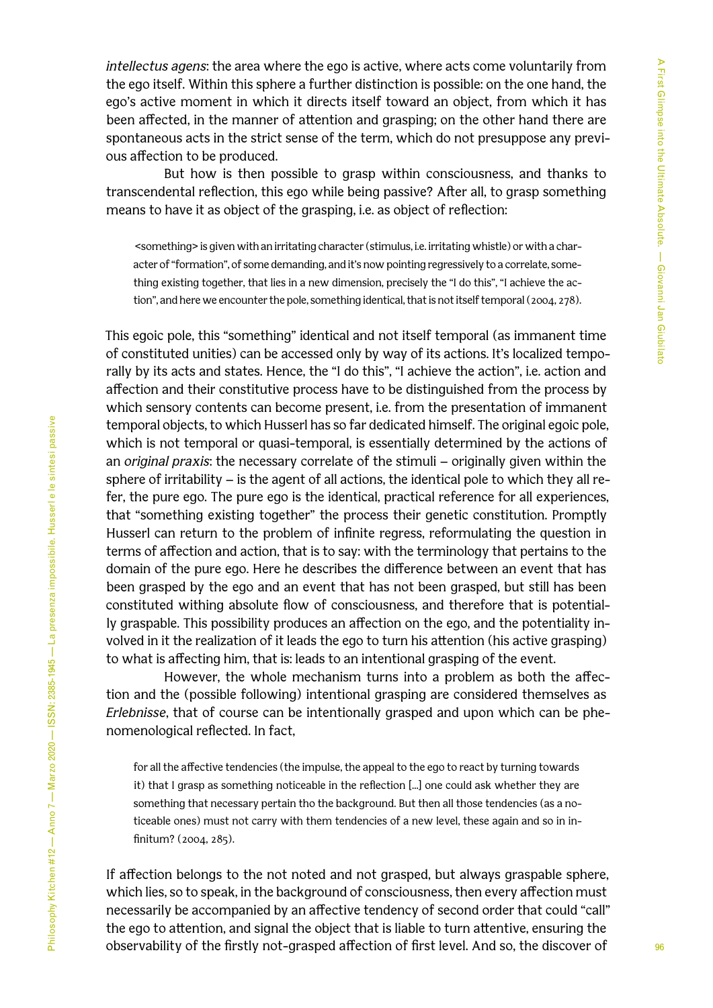*intellectus agens*: the area where the ego is active, where acts come voluntarily from the ego itself. Within this sphere a further distinction is possible: on the one hand, the ego's active moment in which it directs itself toward an object, from which it has been affected, in the manner of attention and grasping; on the other hand there are spontaneous acts in the strict sense of the term, which do not presuppose any previous affection to be produced.

But how is then possible to grasp within consciousness, and thanks to transcendental reflection, this ego while being passive? After all, to grasp something means to have it as object of the grasping, i.e. as object of reflection:

 <something> is given with an irritating character (stimulus, i.e. irritating whistle) or with a character of "formation", of some demanding, and it's now pointing regressively to a correlate, something existing together, that lies in a new dimension, precisely the "I do this", "I achieve the action", and here we encounter the pole, something identical, that is not itself temporal (2004, 278).

This egoic pole, this "something" identical and not itself temporal (as immanent time of constituted unities) can be accessed only by way of its actions. It's localized temporally by its acts and states. Hence, the "I do this", "I achieve the action", i.e. action and affection and their constitutive process have to be distinguished from the process by which sensory contents can become present, i.e. from the presentation of immanent temporal objects, to which Husserl has so far dedicated himself. The original egoic pole, which is not temporal or quasi-temporal, is essentially determined by the actions of an *original praxis*: the necessary correlate of the stimuli – originally given within the sphere of irritability – is the agent of all actions, the identical pole to which they all refer, the pure ego. The pure ego is the identical, practical reference for all experiences, that "something existing together" the process their genetic constitution. Promptly Husserl can return to the problem of infinite regress, reformulating the question in terms of affection and action, that is to say: with the terminology that pertains to the domain of the pure ego. Here he describes the difference between an event that has been grasped by the ego and an event that has not been grasped, but still has been constituted withing absolute flow of consciousness, and therefore that is potentially graspable. This possibility produces an affection on the ego, and the potentiality involved in it the realization of it leads the ego to turn his attention (his active grasping) to what is affecting him, that is: leads to an intentional grasping of the event.

However, the whole mechanism turns into a problem as both the affection and the (possible following) intentional grasping are considered themselves as *Erlebnisse*, that of course can be intentionally grasped and upon which can be phenomenological reflected. In fact,

for all the affective tendencies (the impulse, the appeal to the ego to react by turning towards it) that I grasp as something noticeable in the reflection [...] one could ask whether they are something that necessary pertain tho the background. But then all those tendencies (as a noticeable ones) must not carry with them tendencies of a new level, these again and so in infinitum? (2004, 285).

If affection belongs to the not noted and not grasped, but always graspable sphere, which lies, so to speak, in the background of consciousness, then every affection must necessarily be accompanied by an affective tendency of second order that could "call" the ego to attention, and signal the object that is liable to turn attentive, ensuring the observability of the firstly not-grasped affection of first level. And so, the discover of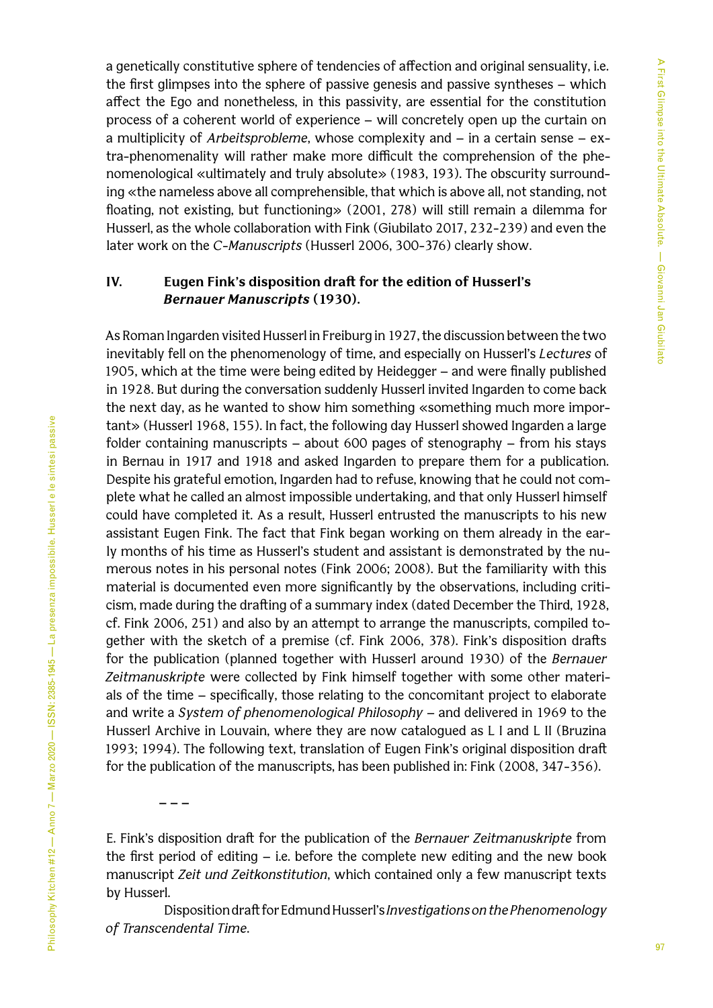a genetically constitutive sphere of tendencies of affection and original sensuality, i.e. the first glimpses into the sphere of passive genesis and passive syntheses – which affect the Ego and nonetheless, in this passivity, are essential for the constitution process of a coherent world of experience – will concretely open up the curtain on a multiplicity of *Arbeitsprobleme*, whose complexity and – in a certain sense – extra-phenomenality will rather make more difficult the comprehension of the phenomenological «ultimately and truly absolute» (1983, 193). The obscurity surrounding «the nameless above all comprehensible, that which is above all, not standing, not floating, not existing, but functioning» (2001, 278) will still remain a dilemma for Husserl, as the whole collaboration with Fink (Giubilato 2017, 232-239) and even the later work on the *C-Manuscripts* (Husserl 2006, 300-376) clearly show.

## **IV. Eugen Fink's disposition draft for the edition of Husserl's**  *Bernauer Manuscripts* **(1930).**

As Roman Ingarden visited Husserl in Freiburg in 1927, the discussion between the two inevitably fell on the phenomenology of time, and especially on Husserl's *Lectures* of 1905, which at the time were being edited by Heidegger – and were finally published in 1928. But during the conversation suddenly Husserl invited Ingarden to come back the next day, as he wanted to show him something «something much more important» (Husserl 1968, 155). In fact, the following day Husserl showed Ingarden a large folder containing manuscripts – about 600 pages of stenography – from his stays in Bernau in 1917 and 1918 and asked Ingarden to prepare them for a publication. Despite his grateful emotion, Ingarden had to refuse, knowing that he could not complete what he called an almost impossible undertaking, and that only Husserl himself could have completed it. As a result, Husserl entrusted the manuscripts to his new assistant Eugen Fink. The fact that Fink began working on them already in the early months of his time as Husserl's student and assistant is demonstrated by the numerous notes in his personal notes (Fink 2006; 2008). But the familiarity with this material is documented even more significantly by the observations, including criticism, made during the drafting of a summary index (dated December the Third, 1928, cf. Fink 2006, 251) and also by an attempt to arrange the manuscripts, compiled together with the sketch of a premise (cf. Fink 2006, 378). Fink's disposition drafts for the publication (planned together with Husserl around 1930) of the *Bernauer Zeitmanuskripte* were collected by Fink himself together with some other materials of the time – specifically, those relating to the concomitant project to elaborate and write a *System of phenomenological Philosophy* – and delivered in 1969 to the Husserl Archive in Louvain, where they are now catalogued as L I and L II (Bruzina 1993; 1994). The following text, translation of Eugen Fink's original disposition draft for the publication of the manuscripts, has been published in: Fink (2008, 347-356).

**– – –** 

E. Fink's disposition draft for the publication of the *Bernauer Zeitmanuskripte* from the first period of editing – i.e. before the complete new editing and the new book manuscript *Zeit und Zeitkonstitution*, which contained only a few manuscript texts by Husserl.

Disposition draft for Edmund Husserl's *Investigations on the Phenomenology of Transcendental Time*.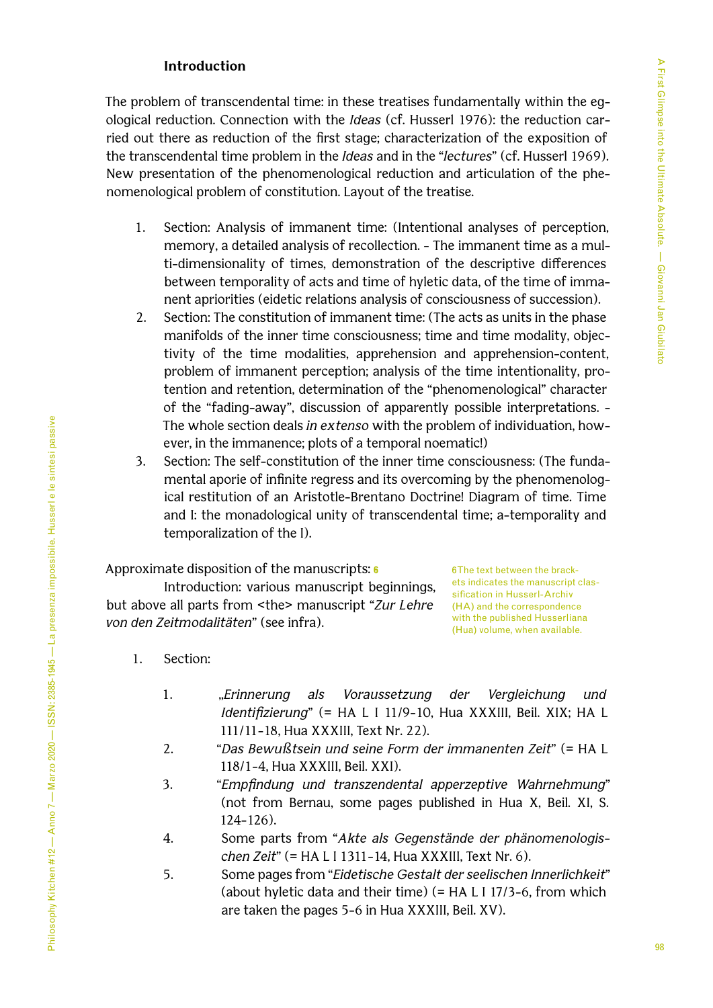## **Introduction**

The problem of transcendental time: in these treatises fundamentally within the egological reduction. Connection with the *Ideas* (cf. Husserl 1976): the reduction carried out there as reduction of the first stage; characterization of the exposition of the transcendental time problem in the *Ideas* and in the "*lectures*" (cf. Husserl 1969). New presentation of the phenomenological reduction and articulation of the phenomenological problem of constitution. Layout of the treatise.

- 1. Section: Analysis of immanent time: (Intentional analyses of perception, memory, a detailed analysis of recollection. - The immanent time as a multi-dimensionality of times, demonstration of the descriptive differences between temporality of acts and time of hyletic data, of the time of immanent apriorities (eidetic relations analysis of consciousness of succession).
- 2. Section: The constitution of immanent time: (The acts as units in the phase manifolds of the inner time consciousness; time and time modality, objectivity of the time modalities, apprehension and apprehension-content, problem of immanent perception; analysis of the time intentionality, protention and retention, determination of the "phenomenological" character of the "fading-away", discussion of apparently possible interpretations. - The whole section deals *in extenso* with the problem of individuation, however, in the immanence; plots of a temporal noematic!)
- 3. Section: The self-constitution of the inner time consciousness: (The fundamental aporie of infinite regress and its overcoming by the phenomenological restitution of an Aristotle-Brentano Doctrine! Diagram of time. Time and I: the monadological unity of transcendental time; a-temporality and temporalization of the I).

Approximate disposition of the manuscripts: **6**

Introduction: various manuscript beginnings, but above all parts from <the> manuscript "*Zur Lehre von den Zeitmodalitäten*" (see infra).

6 The text between the brackets indicates the manuscript classification in Husserl-Archiv (HA) and the correspondence with the published Husserliana (Hua) volume, when available.

- 1. Section:
	- 1. ,,*Erinnerung als Voraussetzung der Vergleichung und Identifizierung*" (= HA L I 11/9-10, Hua XXXIII, Beil. XIX; HA L 111/11-18, Hua XXXIII, Text Nr. 22).
	- 2. "*Das Bewußtsein und seine Form der immanenten Zeit*" (= HA L 118/1-4, Hua XXXIII, Beil. XXI).
	- 3. "*Empfindung und transzendental apperzeptive Wahrnehmung*" (not from Bernau, some pages published in Hua X, Beil. XI, S. 124-126).
	- 4. Some parts from "*Akte als Gegenstände der phänomenologischen Zeit*" (= HA L I 1311-14, Hua XXXIII, Text Nr. 6).
	- 5. Some pages from "*Eidetische Gestalt der seelischen Innerlichkeit*" (about hyletic data and their time) (= HA L I 17/3-6, from which are taken the pages 5-6 in Hua XXXIII, Beil. XV).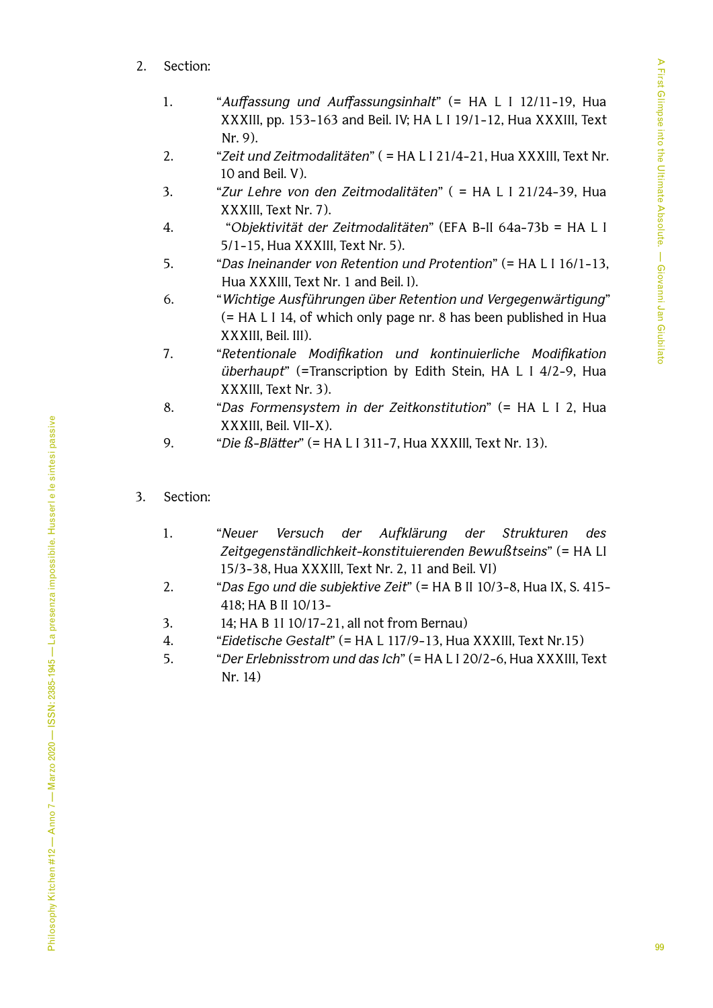A First Glimpse into the Ultimate Absolute. — Giovanni Jan Giubilato 99A First Glimpse into the Ultimate Absolute. — Giovanni Jan Giubilato

- 2. Section:
	- 1. "*Auffassung und Auffassungsinhalt*" (= HA L I 12/11-19, Hua XXXIII, pp. 153-163 and Beil. IV; HA L I 19/1-12, Hua XXXIII, Text Nr. 9).
	- 2. "*Zeit und Zeitmodalitäten*" ( = HA L I 21/4-21, Hua XXXIII, Text Nr. 10 and Beil. V).
	- 3. "*Zur Lehre von den Zeitmodalitäten*" ( = HA L I 21/24-39, Hua XXXIII, Text Nr. 7).
	- 4. "*Objektivität der Zeitmodalitäten*" (EFA B-II 64a-73b = HA L I 5/1-15, Hua XXXIII, Text Nr. 5).
	- 5. "*Das Ineinander von Retention und Protention*" (= HA L I 16/1-13, Hua XXXIII, Text Nr. 1 and Beil. I).
	- 6. "*Wichtige Ausführungen über Retention und Vergegenwärtigung*" (= HA L I 14, of which only page nr. 8 has been published in Hua XXXIII, Beil. III).
	- 7. "*Retentionale Modifikation und kontinuierliche Modifikation überhaupt*" (=Transcription by Edith Stein, HA L I 4/2-9, Hua XXXIII, Text Nr. 3).
	- 8. "*Das Formensystem in der Zeitkonstitution*" (= HA L I 2, Hua XXXIII, Beil. VII-X).
	- 9. "*Die ß-Blätter*" (= HA L I 311-7, Hua XXXIIl, Text Nr. 13).
- 3. Section:
	- 1. "*Neuer Versuch der Aufklärung der Strukturen des Zeitgegenständlichkeit-konstituierenden Bewußtseins*" (= HA LI 15/3-38, Hua XXXIII, Text Nr. 2, 11 and Beil. VI)
	- 2. "*Das Ego und die subjektive Zeit*" (= HA B II 10/3-8, Hua IX, S. 415- 418; HA B II 10/13-
	- 3. 14; HA B 1I 10/17-21, all not from Bernau)
	- 4. "*Eidetische Gestalt*" (= HA L 117/9-13, Hua XXXIII, Text Nr.15)
	- 5. "*Der Erlebnisstrom und das Ich*" (= HA L I 20/2-6, Hua XXXIII, Text Nr. 14)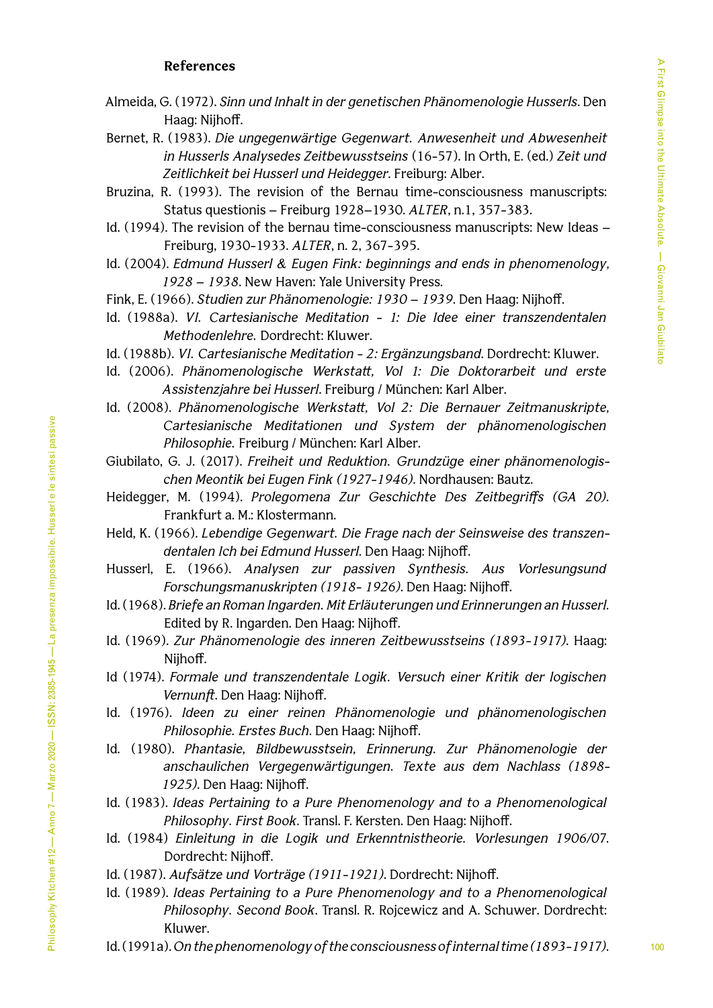#### **References**

- Almeida, G. (1972). *Sinn und Inhalt in der genetischen Phänomenologie Husserls*. Den Haag: Nijhoff.
- Bernet, R. (1983). *Die ungegenwärtige Gegenwart. Anwesenheit und Abwesenheit in Husserls Analysedes Zeitbewusstseins* (16-57). In Orth, E. (ed.) *Zeit und Zeitlichkeit bei Husserl und Heidegger*. Freiburg: Alber.
- Bruzina, R. (1993). The revision of the Bernau time-consciousness manuscripts: Status questionis – Freiburg 1928–1930. *ALTER*, n.1, 357-383.
- Id. (1994). The revision of the bernau time-consciousness manuscripts: New Ideas Freiburg, 1930-1933. *ALTER*, n. 2, 367-395.
- Id. (2004). *Edmund Husserl & Eugen Fink: beginnings and ends in phenomenology, 1928 – 1938*. New Haven: Yale University Press.
- Fink, E. (1966). *Studien zur Phänomenologie: 1930 1939*. Den Haag: Nijhoff.
- Id. (1988a). *VI. Cartesianische Meditation 1: Die Idee einer transzendentalen Methodenlehre.* Dordrecht: Kluwer.
- Id. (1988b). *VI. Cartesianische Meditation 2: Ergänzungsband*. Dordrecht: Kluwer.
- Id. (2006). *[Phänomenologische Werkstatt, Vol 1: Die Doktorarbeit und erste](https://katalog.ub.uni-freiburg.de/opac/RDSIndexrecord/1330616006)  [Assistenzjahre bei Husserl](https://katalog.ub.uni-freiburg.de/opac/RDSIndexrecord/1330616006)*. Freiburg / München: Karl Alber.
- Id. (2008). *Phänomenologische Werkstatt, Vol 2: Die Bernauer Zeitmanuskripte, Cartesianische Meditationen und System der phänomenologischen Philosophie.* Freiburg / München: Karl Alber.
- Giubilato, G. J. (2017). *Freiheit und Reduktion. Grundzüge einer phänomenologischen Meontik bei Eugen Fink (1927-1946)*. Nordhausen: Bautz.
- Heidegger, M. (1994). *Prolegomena Zur Geschichte Des Zeitbegriffs (GA 20)*. Frankfurt a. M.: Klostermann.
- Held, K. (1966). *Lebendige Gegenwart. Die Frage nach der Seinsweise des transzendentalen Ich bei Edmund Husserl*. Den Haag: Nijhoff.
- Husserl, E. (1966). *Analysen zur passiven Synthesis. Aus Vorlesungsund Forschungsmanuskripten (1918- 1926)*. Den Haag: Nijhoff.
- Id. (1968). *Briefe an Roman Ingarden. Mit Erläuterungen und Erinnerungen an Husserl.* Edited by R. Ingarden. Den Haag: Nijhoff.
- Id. (1969). *Zur Phänomenologie des inneren Zeitbewusstseins (1893-1917)*. Haag: Nijhoff.
- Id (1974). *Formale und transzendentale Logik. Versuch einer Kritik der logischen Vernunft*. Den Haag: Nijhoff.
- Id. (1976). *Ideen zu einer reinen Phänomenologie und phänomenologischen Philosophie. Erstes Buch*. Den Haag: Nijhoff.
- Id*.* (1980). *Phantasie, Bildbewusstsein, Erinnerung. Zur Phänomenologie der anschaulichen Vergegenwärtigungen. Texte aus dem Nachlass (1898- 1925)*. Den Haag: Nijhoff.
- Id. (1983). *Ideas Pertaining to a Pure Phenomenology and to a Phenomenological Philosophy. First Book*. Transl. F. Kersten. Den Haag: Nijhoff.
- Id. (1984) *Einleitung in die Logik und Erkenntnistheorie. Vorlesungen 1906/07*. Dordrecht: Nijhoff.
- Id. (1987). *Aufsätze und Vorträge (1911-1921)*. Dordrecht: Nijhoff.
- Id. (1989). *Ideas Pertaining to a Pure Phenomenology and to a Phenomenological Philosophy. Second Book*. Transl. R. Rojcewicz and A. Schuwer. Dordrecht: Kluwer.
- Id. (1991a). *On the phenomenology of the consciousness of internal time (1893-1917)*.